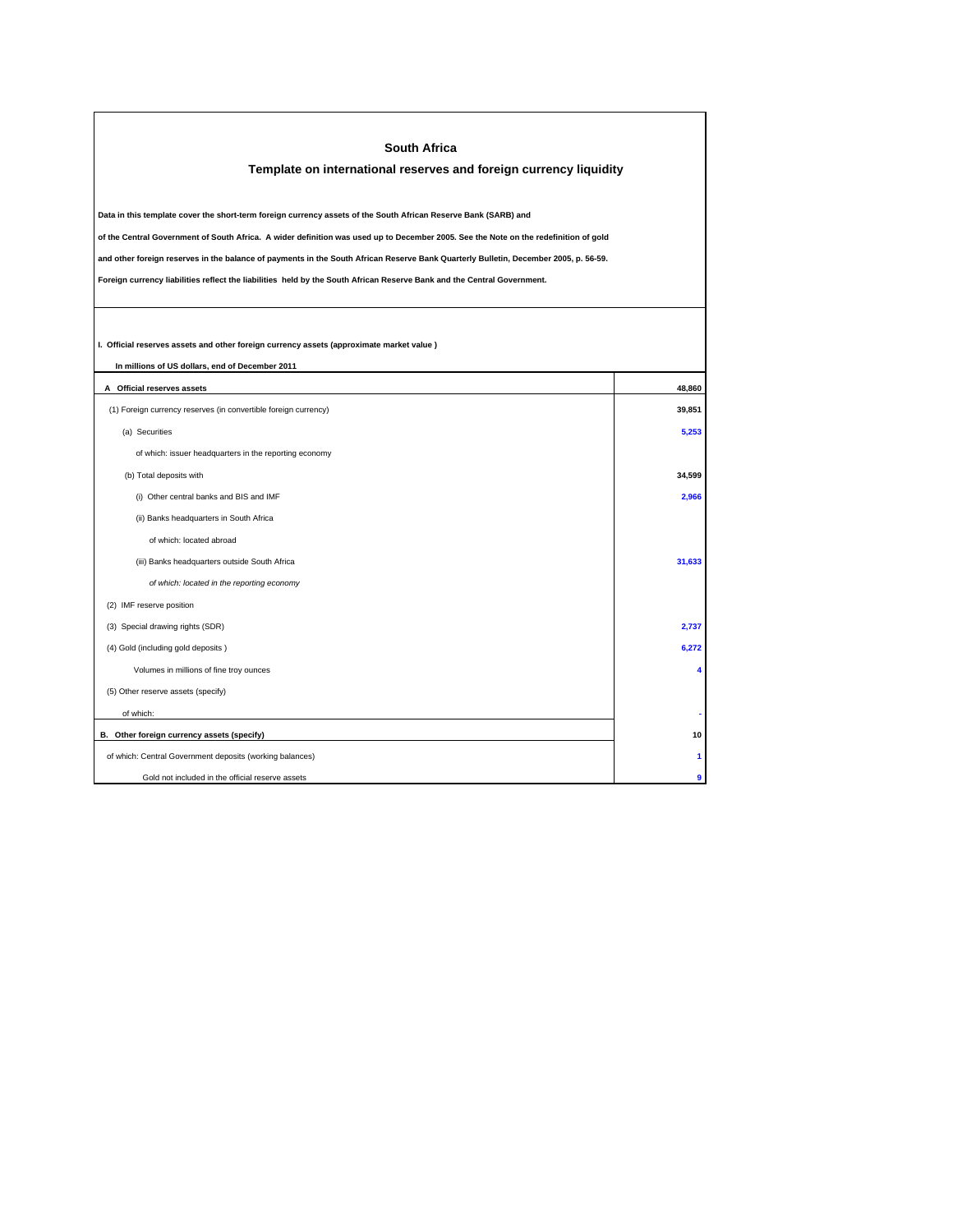| <b>South Africa</b><br>Template on international reserves and foreign currency liquidity                                                                                                                                                                                     |        |  |  |  |
|------------------------------------------------------------------------------------------------------------------------------------------------------------------------------------------------------------------------------------------------------------------------------|--------|--|--|--|
| Data in this template cover the short-term foreign currency assets of the South African Reserve Bank (SARB) and                                                                                                                                                              |        |  |  |  |
| of the Central Government of South Africa. A wider definition was used up to December 2005. See the Note on the redefinition of gold<br>and other foreign reserves in the balance of payments in the South African Reserve Bank Quarterly Bulletin, December 2005, p. 56-59. |        |  |  |  |
| Foreign currency liabilities reflect the liabilities held by the South African Reserve Bank and the Central Government.                                                                                                                                                      |        |  |  |  |
| I. Official reserves assets and other foreign currency assets (approximate market value)                                                                                                                                                                                     |        |  |  |  |
| In millions of US dollars, end of December 2011<br>A Official reserves assets                                                                                                                                                                                                | 48,860 |  |  |  |
| (1) Foreign currency reserves (in convertible foreign currency)                                                                                                                                                                                                              | 39,851 |  |  |  |
| (a) Securities                                                                                                                                                                                                                                                               | 5,253  |  |  |  |
| of which: issuer headquarters in the reporting economy                                                                                                                                                                                                                       |        |  |  |  |
| (b) Total deposits with                                                                                                                                                                                                                                                      | 34.599 |  |  |  |
| (i) Other central banks and BIS and IMF                                                                                                                                                                                                                                      | 2,966  |  |  |  |
| (ii) Banks headquarters in South Africa                                                                                                                                                                                                                                      |        |  |  |  |
| of which: located abroad                                                                                                                                                                                                                                                     |        |  |  |  |
| (iii) Banks headquarters outside South Africa                                                                                                                                                                                                                                | 31,633 |  |  |  |
| of which: located in the reporting economy                                                                                                                                                                                                                                   |        |  |  |  |
| (2) IMF reserve position                                                                                                                                                                                                                                                     |        |  |  |  |
| (3) Special drawing rights (SDR)                                                                                                                                                                                                                                             | 2,737  |  |  |  |
| (4) Gold (including gold deposits)                                                                                                                                                                                                                                           | 6,272  |  |  |  |
| Volumes in millions of fine troy ounces                                                                                                                                                                                                                                      |        |  |  |  |
| (5) Other reserve assets (specify)                                                                                                                                                                                                                                           |        |  |  |  |
| of which:                                                                                                                                                                                                                                                                    |        |  |  |  |
| B. Other foreign currency assets (specify)                                                                                                                                                                                                                                   | 10     |  |  |  |
| of which: Central Government deposits (working balances)                                                                                                                                                                                                                     |        |  |  |  |
| Gold not included in the official reserve assets                                                                                                                                                                                                                             | ۹      |  |  |  |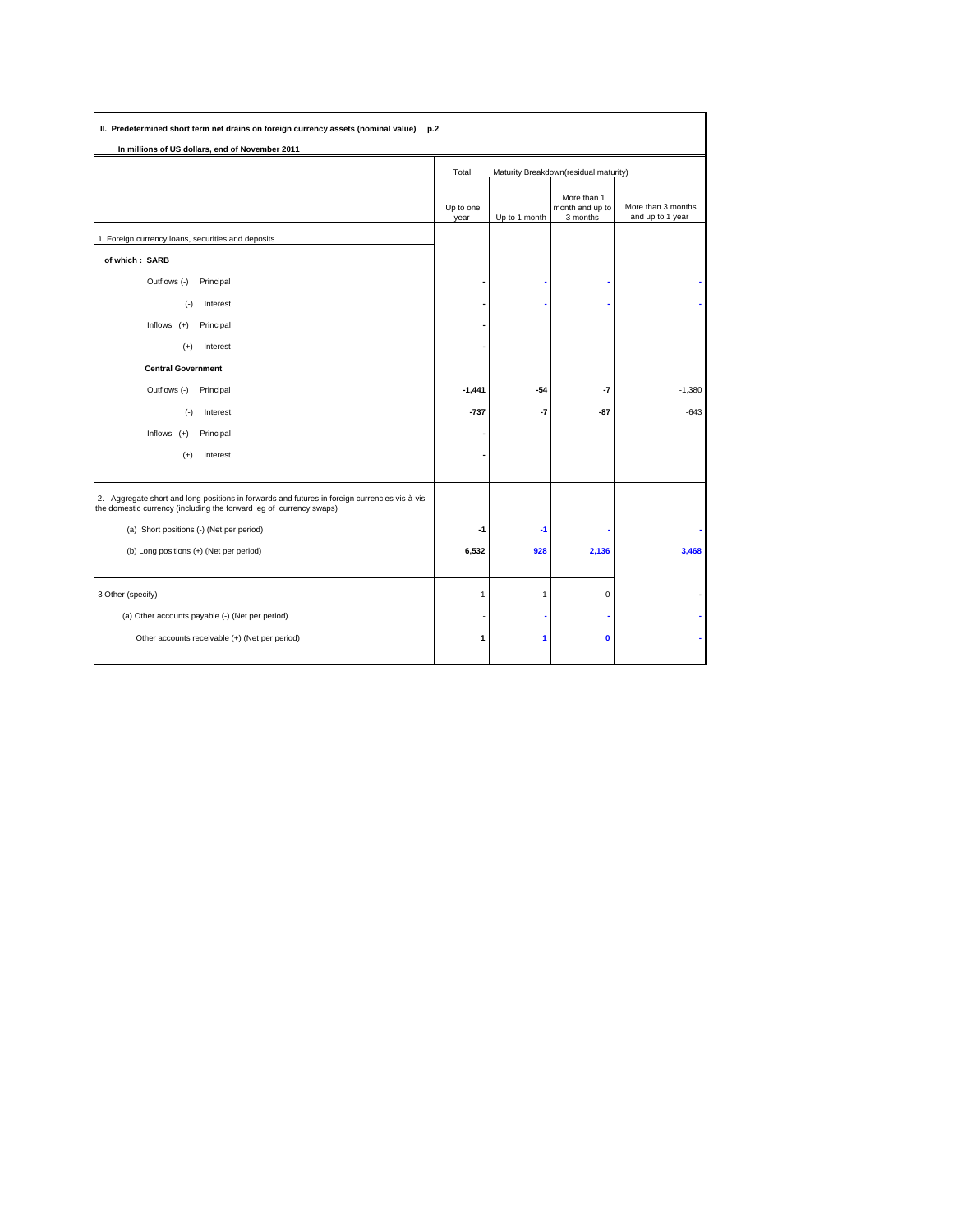| In millions of US dollars, end of November 2011                                                                                                                   |                                                |               |                                            |                                        |  |
|-------------------------------------------------------------------------------------------------------------------------------------------------------------------|------------------------------------------------|---------------|--------------------------------------------|----------------------------------------|--|
|                                                                                                                                                                   | Maturity Breakdown(residual maturity)<br>Total |               |                                            |                                        |  |
|                                                                                                                                                                   | Up to one<br>year                              | Up to 1 month | More than 1<br>month and up to<br>3 months | More than 3 months<br>and up to 1 year |  |
| 1. Foreign currency loans, securities and deposits                                                                                                                |                                                |               |                                            |                                        |  |
| of which: SARB                                                                                                                                                    |                                                |               |                                            |                                        |  |
| Outflows (-)<br>Principal                                                                                                                                         |                                                |               |                                            |                                        |  |
| $(-)$<br>Interest                                                                                                                                                 |                                                |               |                                            |                                        |  |
| Principal<br>Inflows $(+)$                                                                                                                                        |                                                |               |                                            |                                        |  |
| Interest<br>$(+)$                                                                                                                                                 |                                                |               |                                            |                                        |  |
| <b>Central Government</b>                                                                                                                                         |                                                |               |                                            |                                        |  |
| Outflows (-)<br>Principal                                                                                                                                         | $-1,441$                                       | $-54$         | $-7$                                       | $-1,380$                               |  |
| Interest<br>$(-)$                                                                                                                                                 | $-737$                                         | $-7$          | $-87$                                      | $-643$                                 |  |
| Inflows $(+)$<br>Principal                                                                                                                                        |                                                |               |                                            |                                        |  |
| $(+)$<br>Interest                                                                                                                                                 |                                                |               |                                            |                                        |  |
| 2. Aggregate short and long positions in forwards and futures in foreign currencies vis-à-vis the domestic currency (including the forward leg of currency swaps) |                                                |               |                                            |                                        |  |
| (a) Short positions (-) (Net per period)                                                                                                                          | -1                                             | $-1$          |                                            |                                        |  |
| (b) Long positions (+) (Net per period)                                                                                                                           | 6,532                                          | 928           | 2,136                                      | 3,468                                  |  |
| 3 Other (specify)                                                                                                                                                 | $\mathbf{1}$                                   | $\mathbf{1}$  | $\mathbf 0$                                |                                        |  |
| (a) Other accounts payable (-) (Net per period)                                                                                                                   |                                                |               |                                            |                                        |  |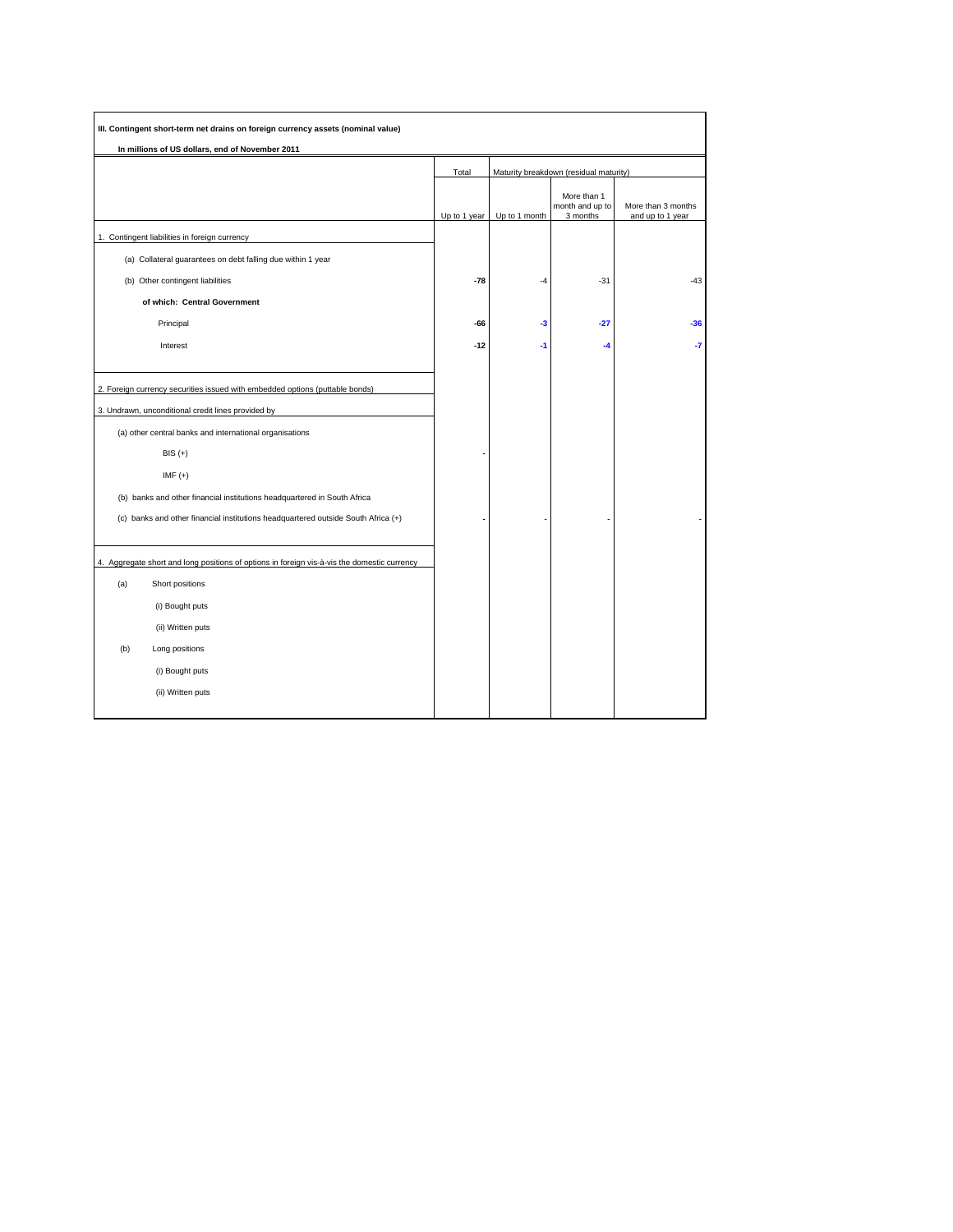| In millions of US dollars, end of November 2011                                                                                    |              |                                        |                                            |                                        |  |
|------------------------------------------------------------------------------------------------------------------------------------|--------------|----------------------------------------|--------------------------------------------|----------------------------------------|--|
|                                                                                                                                    | Total        | Maturity breakdown (residual maturity) |                                            |                                        |  |
|                                                                                                                                    | Up to 1 year | Up to 1 month                          | More than 1<br>month and up to<br>3 months | More than 3 months<br>and up to 1 year |  |
| 1. Contingent liabilities in foreign currency                                                                                      |              |                                        |                                            |                                        |  |
| (a) Collateral guarantees on debt falling due within 1 year                                                                        |              |                                        |                                            |                                        |  |
| (b) Other contingent liabilities                                                                                                   | $-78$        | $-4$                                   | $-31$                                      | $-43$                                  |  |
| of which: Central Government                                                                                                       |              |                                        |                                            |                                        |  |
| Principal                                                                                                                          | -66          | $-3$                                   | $-27$                                      | $-36$                                  |  |
| Interest                                                                                                                           | $-12$        | $-1$                                   | $-4$                                       | -7                                     |  |
| 2. Foreign currency securities issued with embedded options (puttable bonds)<br>3. Undrawn, unconditional credit lines provided by |              |                                        |                                            |                                        |  |
| (a) other central banks and international organisations                                                                            |              |                                        |                                            |                                        |  |
| $BIS (+)$                                                                                                                          |              |                                        |                                            |                                        |  |
| $IMF (+)$                                                                                                                          |              |                                        |                                            |                                        |  |
| (b) banks and other financial institutions headquartered in South Africa                                                           |              |                                        |                                            |                                        |  |
| (c) banks and other financial institutions headquartered outside South Africa (+)                                                  |              |                                        |                                            |                                        |  |
| 4. Aggregate short and long positions of options in foreign vis-à-vis the domestic currency                                        |              |                                        |                                            |                                        |  |
| (a)<br>Short positions                                                                                                             |              |                                        |                                            |                                        |  |
| (i) Bought puts                                                                                                                    |              |                                        |                                            |                                        |  |
| (ii) Written puts                                                                                                                  |              |                                        |                                            |                                        |  |
| (b)<br>Long positions                                                                                                              |              |                                        |                                            |                                        |  |
| (i) Bought puts                                                                                                                    |              |                                        |                                            |                                        |  |